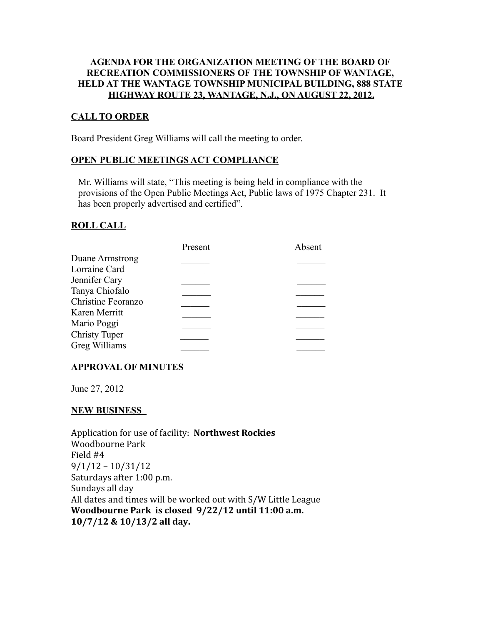## **AGENDA FOR THE ORGANIZATION MEETING OF THE BOARD OF RECREATION COMMISSIONERS OF THE TOWNSHIP OF WANTAGE, HELD AT THE WANTAGE TOWNSHIP MUNICIPAL BUILDING, 888 STATE HIGHWAY ROUTE 23, WANTAGE, N.J., ON AUGUST 22, 2012.**

## **CALL TO ORDER**

Board President Greg Williams will call the meeting to order.

#### **OPEN PUBLIC MEETINGS ACT COMPLIANCE**

 Mr. Williams will state, "This meeting is being held in compliance with the provisions of the Open Public Meetings Act, Public laws of 1975 Chapter 231. It has been properly advertised and certified".

#### **ROLL CALL**

|                      | Present | Absent |
|----------------------|---------|--------|
| Duane Armstrong      |         |        |
| Lorraine Card        |         |        |
| Jennifer Cary        |         |        |
| Tanya Chiofalo       |         |        |
| Christine Feoranzo   |         |        |
| Karen Merritt        |         |        |
| Mario Poggi          |         |        |
| <b>Christy Tuper</b> |         |        |
| Greg Williams        |         |        |
|                      |         |        |

#### **APPROVAL OF MINUTES**

June 27, 2012

#### **NEW BUSINESS**

Application for use of facility: **Northwest Rockies** Woodbourne Park Field #4 9/1/12 – 10/31/12 Saturdays after 1:00 p.m. Sundays all day All dates and times will be worked out with S/W Little League **Woodbourne Park is closed 9/22/12 until 11:00 a.m. 10/7/12 & 10/13/2 all day.**